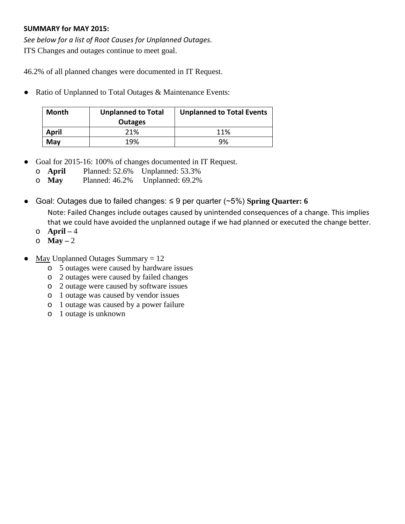## **SUMMARY for MAY 2015:**

*See below for a list of Root Causes for Unplanned Outages.* ITS Changes and outages continue to meet goal.

46.2% of all planned changes were documented in IT Request.

• Ratio of Unplanned to Total Outages & Maintenance Events:

| Month | <b>Unplanned to Total</b><br><b>Outages</b> | <b>Unplanned to Total Events</b> |  |  |
|-------|---------------------------------------------|----------------------------------|--|--|
| April | 21%                                         | 11%                              |  |  |
| May   | 19%                                         | 9%                               |  |  |

- Goal for 2015-16: 100% of changes documented in IT Request.
	- o **April** Planned: 52.6% Unplanned: 53.3%
	- o **May** Planned: 46.2% Unplanned: 69.2%
- Goal: Outages due to failed changes: ≤ 9 per quarter (~5%) **Spring Quarter: 6** Note: Failed Changes include outages caused by unintended consequences of a change. This implies that we could have avoided the unplanned outage if we had planned or executed the change better.
	- o **April –** 4
	- o **May –** 2
- May Unplanned Outages Summary  $= 12$ 
	- o 5 outages were caused by hardware issues
	- o 2 outages were caused by failed changes
	- o 2 outage were caused by software issues
	- o 1 outage was caused by vendor issues
	- o 1 outage was caused by a power failure
	- o 1 outage is unknown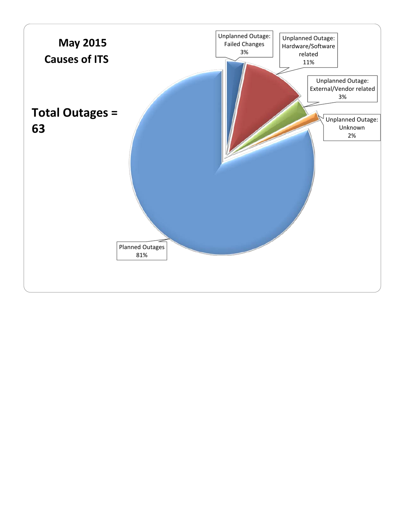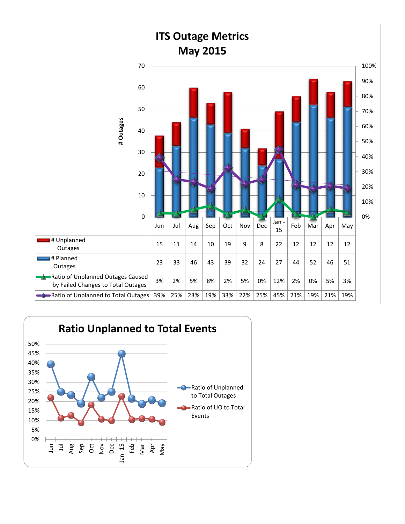